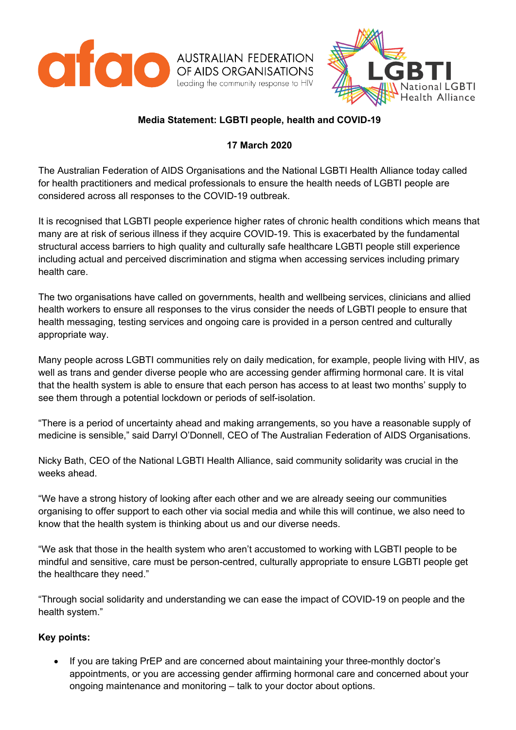



## **Media Statement: LGBTI people, health and COVID-19**

## **17 March 2020**

The Australian Federation of AIDS Organisations and the National LGBTI Health Alliance today called for health practitioners and medical professionals to ensure the health needs of LGBTI people are considered across all responses to the COVID-19 outbreak.

It is recognised that LGBTI people experience higher rates of chronic health conditions which means that many are at risk of serious illness if they acquire COVID-19. This is exacerbated by the fundamental structural access barriers to high quality and culturally safe healthcare LGBTI people still experience including actual and perceived discrimination and stigma when accessing services including primary health care.

The two organisations have called on governments, health and wellbeing services, clinicians and allied health workers to ensure all responses to the virus consider the needs of LGBTI people to ensure that health messaging, testing services and ongoing care is provided in a person centred and culturally appropriate way.

Many people across LGBTI communities rely on daily medication, for example, people living with HIV, as well as trans and gender diverse people who are accessing gender affirming hormonal care. It is vital that the health system is able to ensure that each person has access to at least two months' supply to see them through a potential lockdown or periods of self-isolation.

"There is a period of uncertainty ahead and making arrangements, so you have a reasonable supply of medicine is sensible," said Darryl O'Donnell, CEO of The Australian Federation of AIDS Organisations.

Nicky Bath, CEO of the National LGBTI Health Alliance, said community solidarity was crucial in the weeks ahead.

"We have a strong history of looking after each other and we are already seeing our communities organising to offer support to each other via social media and while this will continue, we also need to know that the health system is thinking about us and our diverse needs.

"We ask that those in the health system who aren't accustomed to working with LGBTI people to be mindful and sensitive, care must be person-centred, culturally appropriate to ensure LGBTI people get the healthcare they need."

"Through social solidarity and understanding we can ease the impact of COVID-19 on people and the health system."

## **Key points:**

• If you are taking PrEP and are concerned about maintaining your three-monthly doctor's appointments, or you are accessing gender affirming hormonal care and concerned about your ongoing maintenance and monitoring – talk to your doctor about options.